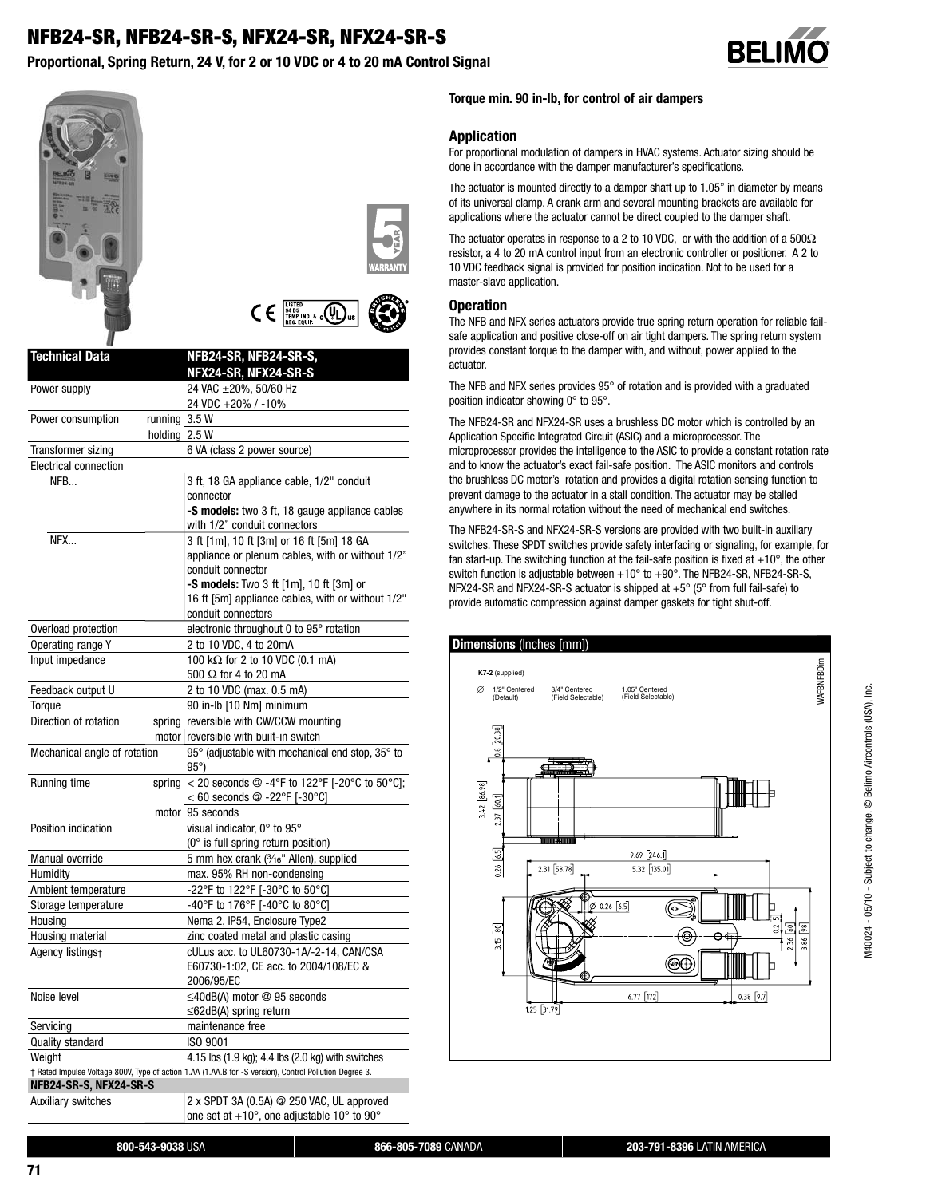# **NFB24-SR, NFB24-SR-S, NFX24-SR, NFX24-SR-S**

**Proportional, Spring Return, 24 V, for 2 or 10 VDC or 4 to 20 mA Control Signal**









| <b>Technical Data</b>                | NFB24-SR, NFB24-SR-S,<br>NFX24-SR, NFX24-SR-S                                                          |
|--------------------------------------|--------------------------------------------------------------------------------------------------------|
| Power supply                         | 24 VAC ±20%, 50/60 Hz                                                                                  |
|                                      | 24 VDC +20% / -10%                                                                                     |
| running $3.5 W$<br>Power consumption |                                                                                                        |
| holding $2.5 W$                      |                                                                                                        |
| Transformer sizing                   | 6 VA (class 2 power source)                                                                            |
| <b>Electrical connection</b>         |                                                                                                        |
| NFR.                                 | 3 ft, 18 GA appliance cable, 1/2" conduit                                                              |
|                                      | connector                                                                                              |
|                                      | -S models: two 3 ft, 18 gauge appliance cables<br>with 1/2" conduit connectors                         |
| NFX                                  | 3 ft [1m], 10 ft [3m] or 16 ft [5m] 18 GA<br>appliance or plenum cables, with or without 1/2"          |
|                                      | conduit connector                                                                                      |
|                                      | -S models: Two 3 ft [1m], 10 ft [3m] or                                                                |
|                                      | 16 ft [5m] appliance cables, with or without 1/2"                                                      |
|                                      | conduit connectors                                                                                     |
| Overload protection                  | electronic throughout 0 to 95° rotation                                                                |
| Operating range Y                    | 2 to 10 VDC, 4 to 20mA                                                                                 |
| Input impedance                      | 100 kΩ for 2 to 10 VDC (0.1 mA)                                                                        |
|                                      | 500 $\Omega$ for 4 to 20 mA                                                                            |
| Feedback output U                    | 2 to 10 VDC (max. 0.5 mA)                                                                              |
| Torque                               | 90 in-lb [10 Nm] minimum                                                                               |
| Direction of rotation                | spring reversible with CW/CCW mounting                                                                 |
| motor                                | reversible with built-in switch                                                                        |
| Mechanical angle of rotation         | 95° (adjustable with mechanical end stop, 35° to<br>$95^{\circ}$                                       |
| Running time<br>spring               | < 20 seconds @ -4°F to 122°F [-20°C to 50°C];<br>$<$ 60 seconds @ -22°F [-30°C]                        |
| motor                                | 95 seconds                                                                                             |
| Position indication                  | visual indicator, 0° to 95°                                                                            |
|                                      | (0° is full spring return position)                                                                    |
| Manual override                      | 5 mm hex crank (3/16" Allen), supplied                                                                 |
| Humidity                             | max. 95% RH non-condensing                                                                             |
| Ambient temperature                  | -22°F to 122°F [-30°C to 50°C]                                                                         |
| Storage temperature                  | -40°F to 176°F [-40°C to 80°C]                                                                         |
| Housing                              | Nema 2, IP54, Enclosure Type2                                                                          |
| Housing material                     | zinc coated metal and plastic casing                                                                   |
| Agency listings+                     | cULus acc. to UL60730-1A/-2-14. CAN/CSA                                                                |
|                                      | E60730-1:02, CE acc. to 2004/108/EC &<br>2006/95/EC                                                    |
| Noise level                          | ≤40dB(A) motor @ 95 seconds<br>$\leq$ 62dB(A) spring return                                            |
| Servicing                            | maintenance free                                                                                       |
| Quality standard                     | ISO 9001                                                                                               |
| Weight                               | 4.15 lbs (1.9 kg); 4.4 lbs (2.0 kg) with switches                                                      |
|                                      | † Rated Impulse Voltage 800V, Type of action 1.AA (1.AA.B for -S version), Control Pollution Degree 3. |
| NFB24-SR-S, NFX24-SR-S               |                                                                                                        |
| <b>Auxiliary switches</b>            | 2 x SPDT 3A (0.5A) @ 250 VAC, UL approved<br>one set at +10°, one adjustable 10° to 90°                |

#### **Torque min. 90 in-lb, for control of air dampers**

#### **Application**

For proportional modulation of dampers in HVAC systems. Actuator sizing should be done in accordance with the damper manufacturer's specifications.

The actuator is mounted directly to a damper shaft up to 1.05" in diameter by means of its universal clamp. A crank arm and several mounting brackets are available for applications where the actuator cannot be direct coupled to the damper shaft.

The actuator operates in response to a 2 to 10 VDC, or with the addition of a 500Ω resistor, a 4 to 20 mA control input from an electronic controller or positioner. A 2 to 10 VDC feedback signal is provided for position indication. Not to be used for a master-slave application.

#### **Operation**

The NFB and NFX series actuators provide true spring return operation for reliable failsafe application and positive close-off on air tight dampers. The spring return system provides constant torque to the damper with, and without, power applied to the actuator.

The NFB and NFX series provides 95° of rotation and is provided with a graduated position indicator showing 0° to 95°.

The NFB24-SR and NFX24-SR uses a brushless DC motor which is controlled by an Application Specific Integrated Circuit (ASIC) and a microprocessor. The microprocessor provides the intelligence to the ASIC to provide a constant rotation rate and to know the actuator's exact fail-safe position. The ASIC monitors and controls the brushless DC motor's rotation and provides a digital rotation sensing function to prevent damage to the actuator in a stall condition. The actuator may be stalled anywhere in its normal rotation without the need of mechanical end switches.

The NFB24-SR-S and NFX24-SR-S versions are provided with two built-in auxiliary switches. These SPDT switches provide safety interfacing or signaling, for example, for fan start-up. The switching function at the fail-safe position is fixed at  $+10^{\circ}$ , the other switch function is adjustable between +10° to +90°. The NFB24-SR, NFB24-SR-S, NFX24-SR and NFX24-SR-S actuator is shipped at +5° (5° from full fail-safe) to provide automatic compression against damper gaskets for tight shut-off.